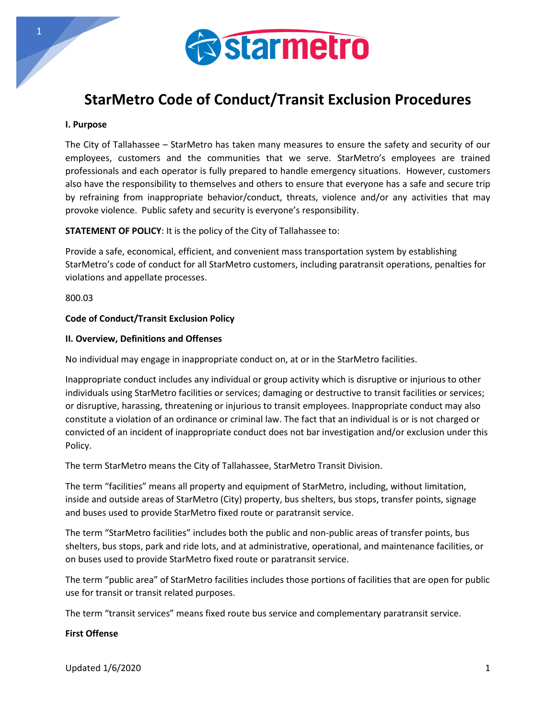

# **StarMetro Code of Conduct/Transit Exclusion Procedures**

#### **I. Purpose**

The City of Tallahassee – StarMetro has taken many measures to ensure the safety and security of our employees, customers and the communities that we serve. StarMetro's employees are trained professionals and each operator is fully prepared to handle emergency situations. However, customers also have the responsibility to themselves and others to ensure that everyone has a safe and secure trip by refraining from inappropriate behavior/conduct, threats, violence and/or any activities that may provoke violence. Public safety and security is everyone's responsibility.

**STATEMENT OF POLICY**: It is the policy of the City of Tallahassee to:

Provide a safe, economical, efficient, and convenient mass transportation system by establishing StarMetro's code of conduct for all StarMetro customers, including paratransit operations, penalties for violations and appellate processes.

800.03

# **Code of Conduct/Transit Exclusion Policy**

#### **II. Overview, Definitions and Offenses**

No individual may engage in inappropriate conduct on, at or in the StarMetro facilities.

Inappropriate conduct includes any individual or group activity which is disruptive or injurious to other individuals using StarMetro facilities or services; damaging or destructive to transit facilities or services; or disruptive, harassing, threatening or injurious to transit employees. Inappropriate conduct may also constitute a violation of an ordinance or criminal law. The fact that an individual is or is not charged or convicted of an incident of inappropriate conduct does not bar investigation and/or exclusion under this Policy.

The term StarMetro means the City of Tallahassee, StarMetro Transit Division.

The term "facilities" means all property and equipment of StarMetro, including, without limitation, inside and outside areas of StarMetro (City) property, bus shelters, bus stops, transfer points, signage and buses used to provide StarMetro fixed route or paratransit service.

The term "StarMetro facilities" includes both the public and non-public areas of transfer points, bus shelters, bus stops, park and ride lots, and at administrative, operational, and maintenance facilities, or on buses used to provide StarMetro fixed route or paratransit service.

The term "public area" of StarMetro facilities includes those portions of facilities that are open for public use for transit or transit related purposes.

The term "transit services" means fixed route bus service and complementary paratransit service.

## **First Offense**

Updated 1/6/2020 **1**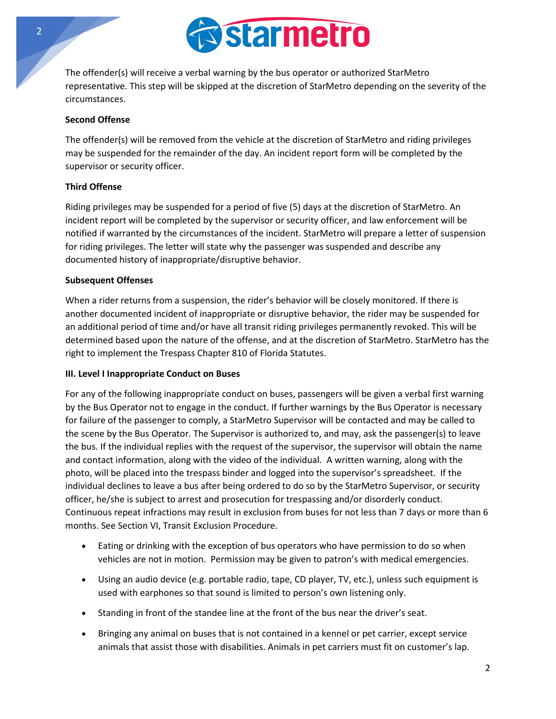

The offender(s) will receive a verbal warning by the bus operator or authorized StarMetro representative. This step will be skipped at the discretion of StarMetro depending on the severity of the circumstances.

## **Second Offense**

The offender(s) will be removed from the vehicle at the discretion of StarMetro and riding privileges may be suspended for the remainder of the day. An incident report form will be completed by the supervisor or security officer.

## **Third Offense**

Riding privileges may be suspended for a period of five (5) days at the discretion of StarMetro. An incident report will be completed by the supervisor or security officer, and law enforcement will be notified if warranted by the circumstances of the incident. StarMetro will prepare a letter of suspension for riding privileges. The letter will state why the passenger was suspended and describe any documented history of inappropriate/disruptive behavior.

#### **Subsequent Offenses**

When a rider returns from a suspension, the rider's behavior will be closely monitored. If there is another documented incident of inappropriate or disruptive behavior, the rider may be suspended for an additional period of time and/or have all transit riding privileges permanently revoked. This will be determined based upon the nature of the offense, and at the discretion of StarMetro. StarMetro has the right to implement the Trespass Chapter 810 of Florida Statutes.

#### **III. Level I Inappropriate Conduct on Buses**

For any of the following inappropriate conduct on buses, passengers will be given a verbal first warning by the Bus Operator not to engage in the conduct. If further warnings by the Bus Operator is necessary for failure of the passenger to comply, a StarMetro Supervisor will be contacted and may be called to the scene by the Bus Operator. The Supervisor is authorized to, and may, ask the passenger(s) to leave the bus. If the individual replies with the request of the supervisor, the supervisor will obtain the name and contact information, along with the video of the individual. A written warning, along with the photo, will be placed into the trespass binder and logged into the supervisor's spreadsheet. If the individual declines to leave a bus after being ordered to do so by the StarMetro Supervisor, or security officer, he/she is subject to arrest and prosecution for trespassing and/or disorderly conduct. Continuous repeat infractions may result in exclusion from buses for not less than 7 days or more than 6 months. See Section VI, Transit Exclusion Procedure.

- Eating or drinking with the exception of bus operators who have permission to do so when vehicles are not in motion. Permission may be given to patron's with medical emergencies.
- Using an audio device (e.g. portable radio, tape, CD player, TV, etc.), unless such equipment is used with earphones so that sound is limited to person's own listening only.
- Standing in front of the standee line at the front of the bus near the driver's seat.
- Bringing any animal on buses that is not contained in a kennel or pet carrier, except service animals that assist those with disabilities. Animals in pet carriers must fit on customer's lap.

2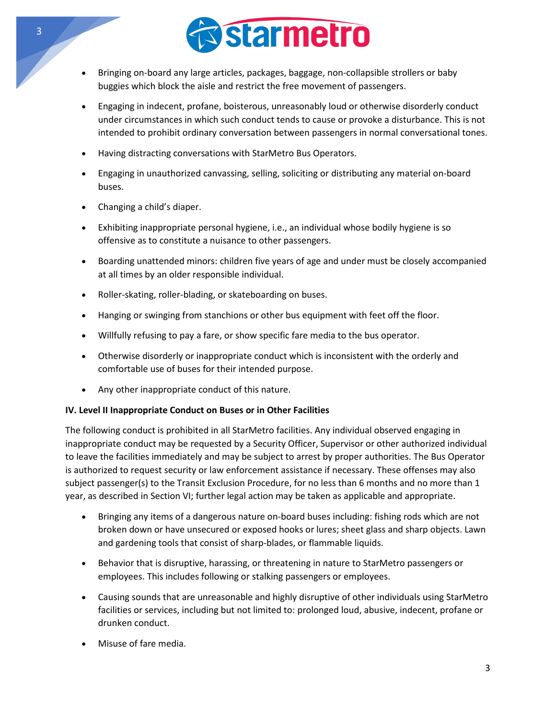

- Bringing on-board any large articles, packages, baggage, non-collapsible strollers or baby buggies which block the aisle and restrict the free movement of passengers.
- Engaging in indecent, profane, boisterous, unreasonably loud or otherwise disorderly conduct under circumstances in which such conduct tends to cause or provoke a disturbance. This is not intended to prohibit ordinary conversation between passengers in normal conversational tones.
- Having distracting conversations with StarMetro Bus Operators.
- Engaging in unauthorized canvassing, selling, soliciting or distributing any material on-board buses.
- Changing a child's diaper.
- Exhibiting inappropriate personal hygiene, i.e., an individual whose bodily hygiene is so offensive as to constitute a nuisance to other passengers.
- Boarding unattended minors: children five years of age and under must be closely accompanied at all times by an older responsible individual.
- Roller-skating, roller-blading, or skateboarding on buses.
- Hanging or swinging from stanchions or other bus equipment with feet off the floor.
- Willfully refusing to pay a fare, or show specific fare media to the bus operator.
- Otherwise disorderly or inappropriate conduct which is inconsistent with the orderly and comfortable use of buses for their intended purpose.
- Any other inappropriate conduct of this nature.

# **IV. Level II Inappropriate Conduct on Buses or in Other Facilities**

The following conduct is prohibited in all StarMetro facilities. Any individual observed engaging in inappropriate conduct may be requested by a Security Officer, Supervisor or other authorized individual to leave the facilities immediately and may be subject to arrest by proper authorities. The Bus Operator is authorized to request security or law enforcement assistance if necessary. These offenses may also subject passenger(s) to the Transit Exclusion Procedure, for no less than 6 months and no more than 1 year, as described in Section VI; further legal action may be taken as applicable and appropriate.

- Bringing any items of a dangerous nature on-board buses including: fishing rods which are not broken down or have unsecured or exposed hooks or lures; sheet glass and sharp objects. Lawn and gardening tools that consist of sharp-blades, or flammable liquids.
- Behavior that is disruptive, harassing, or threatening in nature to StarMetro passengers or employees. This includes following or stalking passengers or employees.
- Causing sounds that are unreasonable and highly disruptive of other individuals using StarMetro facilities or services, including but not limited to: prolonged loud, abusive, indecent, profane or drunken conduct.
- Misuse of fare media.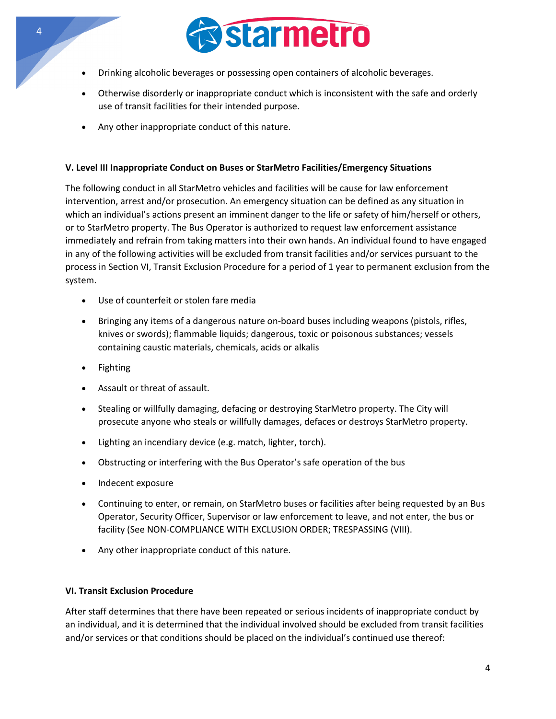

- Drinking alcoholic beverages or possessing open containers of alcoholic beverages.
- Otherwise disorderly or inappropriate conduct which is inconsistent with the safe and orderly use of transit facilities for their intended purpose.
- Any other inappropriate conduct of this nature.

# **V. Level III Inappropriate Conduct on Buses or StarMetro Facilities/Emergency Situations**

The following conduct in all StarMetro vehicles and facilities will be cause for law enforcement intervention, arrest and/or prosecution. An emergency situation can be defined as any situation in which an individual's actions present an imminent danger to the life or safety of him/herself or others, or to StarMetro property. The Bus Operator is authorized to request law enforcement assistance immediately and refrain from taking matters into their own hands. An individual found to have engaged in any of the following activities will be excluded from transit facilities and/or services pursuant to the process in Section VI, Transit Exclusion Procedure for a period of 1 year to permanent exclusion from the system.

- Use of counterfeit or stolen fare media
- Bringing any items of a dangerous nature on-board buses including weapons (pistols, rifles, knives or swords); flammable liquids; dangerous, toxic or poisonous substances; vessels containing caustic materials, chemicals, acids or alkalis
- Fighting
- Assault or threat of assault.
- Stealing or willfully damaging, defacing or destroying StarMetro property. The City will prosecute anyone who steals or willfully damages, defaces or destroys StarMetro property.
- Lighting an incendiary device (e.g. match, lighter, torch).
- Obstructing or interfering with the Bus Operator's safe operation of the bus
- Indecent exposure
- Continuing to enter, or remain, on StarMetro buses or facilities after being requested by an Bus Operator, Security Officer, Supervisor or law enforcement to leave, and not enter, the bus or facility (See NON-COMPLIANCE WITH EXCLUSION ORDER; TRESPASSING (VIII).
- Any other inappropriate conduct of this nature.

# **VI. Transit Exclusion Procedure**

After staff determines that there have been repeated or serious incidents of inappropriate conduct by an individual, and it is determined that the individual involved should be excluded from transit facilities and/or services or that conditions should be placed on the individual's continued use thereof: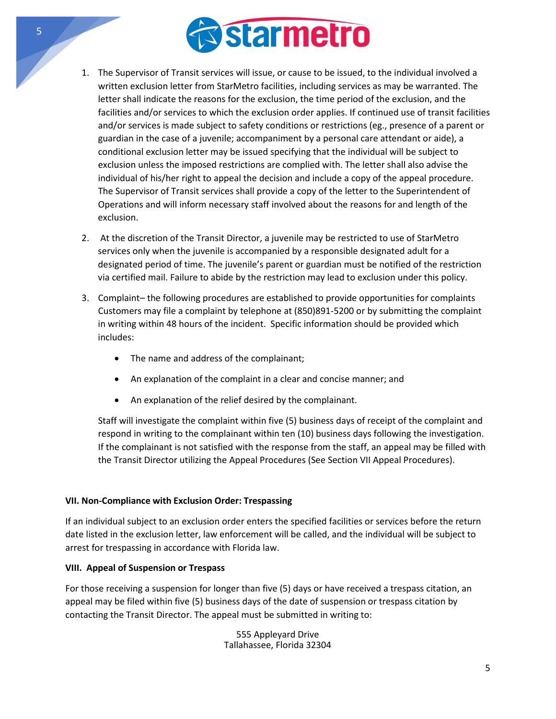

- 1. The Supervisor of Transit services will issue, or cause to be issued, to the individual involved a written exclusion letter from StarMetro facilities, including services as may be warranted. The letter shall indicate the reasons for the exclusion, the time period of the exclusion, and the facilities and/or services to which the exclusion order applies. If continued use of transit facilities and/or services is made subject to safety conditions or restrictions (eg., presence of a parent or guardian in the case of a juvenile; accompaniment by a personal care attendant or aide), a conditional exclusion letter may be issued specifying that the individual will be subject to exclusion unless the imposed restrictions are complied with. The letter shall also advise the individual of his/her right to appeal the decision and include a copy of the appeal procedure. The Supervisor of Transit services shall provide a copy of the letter to the Superintendent of Operations and will inform necessary staff involved about the reasons for and length of the exclusion.
- 2. At the discretion of the Transit Director, a juvenile may be restricted to use of StarMetro services only when the juvenile is accompanied by a responsible designated adult for a designated period of time. The juvenile's parent or guardian must be notified of the restriction via certified mail. Failure to abide by the restriction may lead to exclusion under this policy.
- 3. Complaint– the following procedures are established to provide opportunities for complaints Customers may file a complaint by telephone at (850)891-5200 or by submitting the complaint in writing within 48 hours of the incident. Specific information should be provided which includes:
	- The name and address of the complainant;
	- An explanation of the complaint in a clear and concise manner; and
	- An explanation of the relief desired by the complainant.

Staff will investigate the complaint within five (5) business days of receipt of the complaint and respond in writing to the complainant within ten (10) business days following the investigation. If the complainant is not satisfied with the response from the staff, an appeal may be filled with the Transit Director utilizing the Appeal Procedures (See Section VII Appeal Procedures).

# **VII. Non-Compliance with Exclusion Order: Trespassing**

If an individual subject to an exclusion order enters the specified facilities or services before the return date listed in the exclusion letter, law enforcement will be called, and the individual will be subject to arrest for trespassing in accordance with Florida law.

#### **VIII. Appeal of Suspension or Trespass**

For those receiving a suspension for longer than five (5) days or have received a trespass citation, an appeal may be filed within five (5) business days of the date of suspension or trespass citation by contacting the Transit Director. The appeal must be submitted in writing to:

> 555 Appleyard Drive Tallahassee, Florida 32304